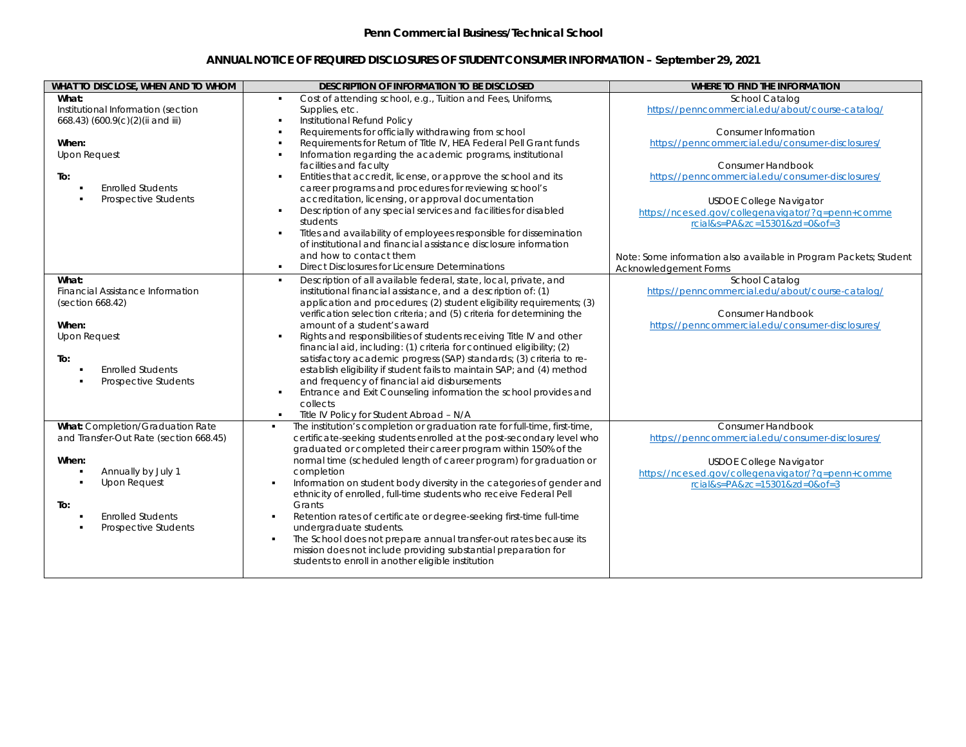## **ANNUAL NOTICE OF REQUIRED DISCLOSURES OF STUDENT CONSUMER INFORMATION – September 29, 2021**

| WHAT TO DISCLOSE, WHEN AND TO WHOM                                                                                                                                                                            | DESCRIPTION OF INFORMATION TO BE DISCLOSED                                                                                                                                                                                                                                                                                                                                                                                                                                                                                                                                                                                                                                                                                                                                                                                                  | WHERE TO FIND THE INFORMATION                                                                                                                                                                            |
|---------------------------------------------------------------------------------------------------------------------------------------------------------------------------------------------------------------|---------------------------------------------------------------------------------------------------------------------------------------------------------------------------------------------------------------------------------------------------------------------------------------------------------------------------------------------------------------------------------------------------------------------------------------------------------------------------------------------------------------------------------------------------------------------------------------------------------------------------------------------------------------------------------------------------------------------------------------------------------------------------------------------------------------------------------------------|----------------------------------------------------------------------------------------------------------------------------------------------------------------------------------------------------------|
| What:<br>Institutional Information (section<br>668.43) (600.9(c)(2)(ii and iii)                                                                                                                               | Cost of attending school, e.g., Tuition and Fees, Uniforms,<br>Supplies, etc.<br>Institutional Refund Policy                                                                                                                                                                                                                                                                                                                                                                                                                                                                                                                                                                                                                                                                                                                                | School Catalog<br>https://penncommercial.edu/about/course-catalog/                                                                                                                                       |
| When:<br><b>Upon Request</b>                                                                                                                                                                                  | Requirements for officially withdrawing from school<br>Requirements for Return of Title IV, HEA Federal Pell Grant funds<br>Information regarding the academic programs, institutional                                                                                                                                                                                                                                                                                                                                                                                                                                                                                                                                                                                                                                                      | Consumer Information<br>https://penncommercial.edu/consumer-disclosures/                                                                                                                                 |
| To:<br><b>Friolled Students</b>                                                                                                                                                                               | facilities and faculty<br>Entities that accredit, license, or approve the school and its<br>$\blacksquare$<br>career programs and procedures for reviewing school's                                                                                                                                                                                                                                                                                                                                                                                                                                                                                                                                                                                                                                                                         | Consumer Handbook<br>https://penncommercial.edu/consumer-disclosures/                                                                                                                                    |
| Prospective Students                                                                                                                                                                                          | accreditation, licensing, or approval documentation<br>Description of any special services and facilities for disabled<br>$\blacksquare$<br>students<br>Titles and availability of employees responsible for dissemination<br>$\blacksquare$<br>of institutional and financial assistance disclosure information                                                                                                                                                                                                                                                                                                                                                                                                                                                                                                                            | <b>USDOE College Navigator</b><br>https://nces.ed.gov/collegenavigator/?g=penn+comme<br>rcial&s=PA&zc=15301&zd=0&of=3                                                                                    |
|                                                                                                                                                                                                               | and how to contact them<br>Direct Disclosures for Licensure Determinations<br>$\blacksquare$                                                                                                                                                                                                                                                                                                                                                                                                                                                                                                                                                                                                                                                                                                                                                | Note: Some information also available in Program Packets; Student<br>Acknowledgement Forms                                                                                                               |
| What:<br>Financial Assistance Information<br>(section 668.42)<br>When:<br><b>Upon Request</b><br>To:<br><b>Enrolled Students</b><br>Prospective Students                                                      | Description of all available federal, state, local, private, and<br>٠<br>institutional financial assistance, and a description of: (1)<br>application and procedures; (2) student eligibility requirements; (3)<br>verification selection criteria; and (5) criteria for determining the<br>amount of a student's award<br>Rights and responsibilities of students receiving Title IV and other<br>financial aid, including: (1) criteria for continued eligibility; (2)<br>satisfactory academic progress (SAP) standards; (3) criteria to re-<br>establish eligibility if student fails to maintain SAP; and (4) method<br>and frequency of financial aid disbursements<br>Entrance and Exit Counseling information the school provides and<br>٠<br>collects<br>Title IV Policy for Student Abroad - N/A<br>$\blacksquare$                | School Catalog<br>https://penncommercial.edu/about/course-catalog/<br>Consumer Handbook<br>https://penncommercial.edu/consumer-disclosures/                                                              |
| What: Completion/Graduation Rate<br>and Transfer-Out Rate (section 668.45)<br>When:<br>Annually by July 1<br><b>Upon Request</b><br>$\blacksquare$<br>To:<br><b>Enrolled Students</b><br>Prospective Students | The institution's completion or graduation rate for full-time, first-time,<br>$\blacksquare$<br>certificate-seeking students enrolled at the post-secondary level who<br>graduated or completed their career program within 150% of the<br>normal time (scheduled length of career program) for graduation or<br>completion<br>Information on student body diversity in the categories of gender and<br>$\blacksquare$<br>ethnicity of enrolled, full-time students who receive Federal Pell<br>Grants<br>Retention rates of certificate or degree-seeking first-time full-time<br>$\blacksquare$<br>undergraduate students.<br>The School does not prepare annual transfer-out rates because its<br>$\blacksquare$<br>mission does not include providing substantial preparation for<br>students to enroll in another eligible institution | Consumer Handbook<br>https://penncommercial.edu/consumer-disclosures/<br><b>USDOE College Navigator</b><br>https://nces.ed.gov/collegenavigator/?g=penn+comme<br>$rcial&s = PA&zc = 15301&zd = 0&of = 3$ |